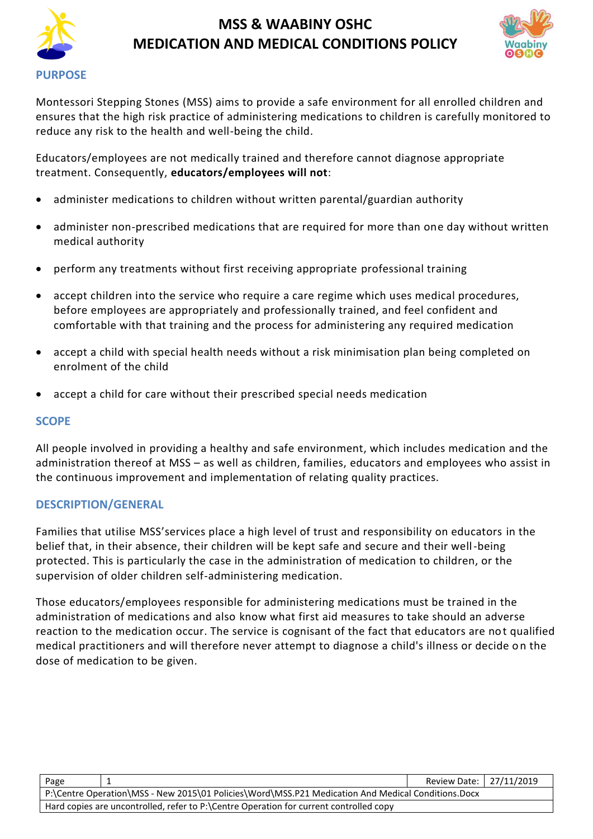



Montessori Stepping Stones (MSS) aims to provide a safe environment for all enrolled children and ensures that the high risk practice of administering medications to children is carefully monitored to reduce any risk to the health and well-being the child.

Educators/employees are not medically trained and therefore cannot diagnose appropriate treatment. Consequently, **educators/employees will not**:

- administer medications to children without written parental/guardian authority
- administer non-prescribed medications that are required for more than one day without written medical authority
- perform any treatments without first receiving appropriate professional training
- accept children into the service who require a care regime which uses medical procedures, before employees are appropriately and professionally trained, and feel confident and comfortable with that training and the process for administering any required medication
- accept a child with special health needs without a risk minimisation plan being completed on enrolment of the child
- accept a child for care without their prescribed special needs medication

### **SCOPE**

All people involved in providing a healthy and safe environment, which includes medication and the administration thereof at MSS – as well as children, families, educators and employees who assist in the continuous improvement and implementation of relating quality practices.

### **DESCRIPTION/GENERAL**

Families that utilise MSS'services place a high level of trust and responsibility on educators in the belief that, in their absence, their children will be kept safe and secure and their well-being protected. This is particularly the case in the administration of medication to children, or the supervision of older children self-administering medication.

Those educators/employees responsible for administering medications must be trained in the administration of medications and also know what first aid measures to take should an adverse reaction to the medication occur. The service is cognisant of the fact that educators are not qualified medical practitioners and will therefore never attempt to diagnose a child's illness or decide on the dose of medication to be given.

| Page                                                                                               |  | Review Date: 27/11/2019 |  |  |
|----------------------------------------------------------------------------------------------------|--|-------------------------|--|--|
| P:\Centre Operation\MSS - New 2015\01 Policies\Word\MSS.P21 Medication And Medical Conditions.Docx |  |                         |  |  |
| Hard copies are uncontrolled, refer to P:\Centre Operation for current controlled copy             |  |                         |  |  |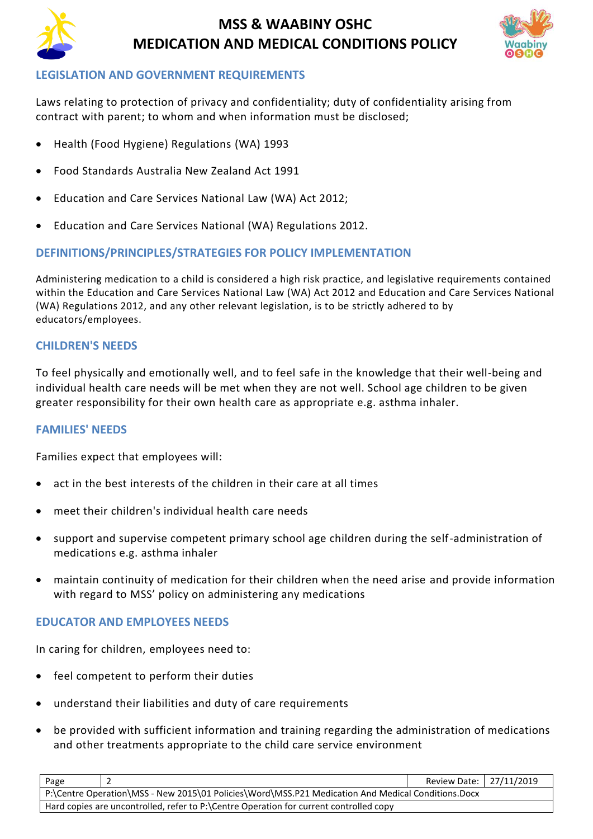



### **LEGISLATION AND GOVERNMENT REQUIREMENTS**

Laws relating to protection of privacy and confidentiality; duty of confidentiality arising from contract with parent; to whom and when information must be disclosed;

- [Health \(Food Hygiene\) Regulations](http://www.slp.wa.gov.au/legislation/agency.nsf/docep_main_mrtitle_4245_homepage.html) (WA) 1993
- Food Standards Australia New Zealand Act 1991
- Education and Care Services National Law (WA) Act 2012;
- Education and Care Services National (WA) Regulations 2012.

# **DEFINITIONS/PRINCIPLES/STRATEGIES FOR POLICY IMPLEMENTATION**

Administering medication to a child is considered a high risk practice, and legislative requirements contained within the Education and Care Services National Law (WA) Act 2012 and Education and Care Services National (WA) Regulations 2012, and any other relevant legislation, is to be strictly adhered to by educators/employees.

# **CHILDREN'S NEEDS**

To feel physically and emotionally well, and to feel safe in the knowledge that their well-being and individual health care needs will be met when they are not well. School age children to be given greater responsibility for their own health care as appropriate e.g. asthma inhaler.

### **FAMILIES' NEEDS**

Families expect that employees will:

- act in the best interests of the children in their care at all times
- meet their children's individual health care needs
- support and supervise competent primary school age children during the self-administration of medications e.g. asthma inhaler
- maintain continuity of medication for their children when the need arise and provide information with regard to MSS' policy on administering any medications

### **EDUCATOR AND EMPLOYEES NEEDS**

In caring for children, employees need to:

- feel competent to perform their duties
- understand their liabilities and duty of care requirements
- be provided with sufficient information and training regarding the administration of medications and other treatments appropriate to the child care service environment

| Page                                                                                               |  | Review Date:   27/11/2019 |  |  |
|----------------------------------------------------------------------------------------------------|--|---------------------------|--|--|
| P:\Centre Operation\MSS - New 2015\01 Policies\Word\MSS.P21 Medication And Medical Conditions.Docx |  |                           |  |  |
| Hard copies are uncontrolled, refer to P:\Centre Operation for current controlled copy             |  |                           |  |  |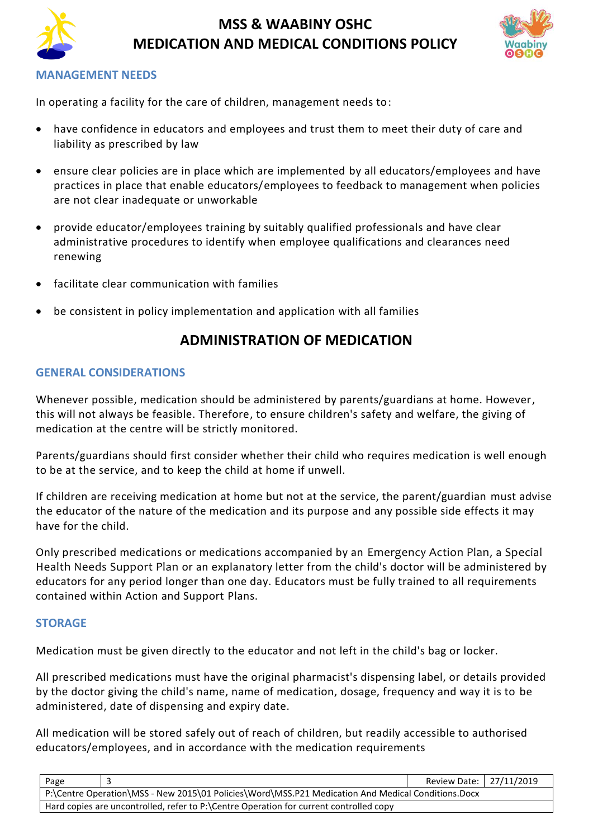



### **MANAGEMENT NEEDS**

In operating a facility for the care of children, management needs to:

- have confidence in educators and employees and trust them to meet their duty of care and liability as prescribed by law
- ensure clear policies are in place which are implemented by all educators/employees and have practices in place that enable educators/employees to feedback to management when policies are not clear inadequate or unworkable
- provide educator/employees training by suitably qualified professionals and have clear administrative procedures to identify when employee qualifications and clearances need renewing
- facilitate clear communication with families
- be consistent in policy implementation and application with all families

# **ADMINISTRATION OF MEDICATION**

#### **GENERAL CONSIDERATIONS**

Whenever possible, medication should be administered by parents/guardians at home. However, this will not always be feasible. Therefore, to ensure children's safety and welfare, the giving of medication at the centre will be strictly monitored.

Parents/guardians should first consider whether their child who requires medication is well enough to be at the service, and to keep the child at home if unwell.

If children are receiving medication at home but not at the service, the parent/guardian must advise the educator of the nature of the medication and its purpose and any possible side effects it may have for the child.

Only prescribed medications or medications accompanied by an Emergency Action Plan, a Special Health Needs Support Plan or an explanatory letter from the child's doctor will be administered by educators for any period longer than one day. Educators must be fully trained to all requirements contained within Action and Support Plans.

### **STORAGE**

Medication must be given directly to the educator and not left in the child's bag or locker.

All prescribed medications must have the original pharmacist's dispensing label, or details provided by the doctor giving the child's name, name of medication, dosage, frequency and way it is to be administered, date of dispensing and expiry date.

All medication will be stored safely out of reach of children, but readily accessible to authorised educators/employees, and in accordance with the medication requirements

| Page                                                                                               |  | Review Date:   27/11/2019 |  |  |
|----------------------------------------------------------------------------------------------------|--|---------------------------|--|--|
| P:\Centre Operation\MSS - New 2015\01 Policies\Word\MSS.P21 Medication And Medical Conditions.Docx |  |                           |  |  |
| Hard copies are uncontrolled, refer to P:\Centre Operation for current controlled copy             |  |                           |  |  |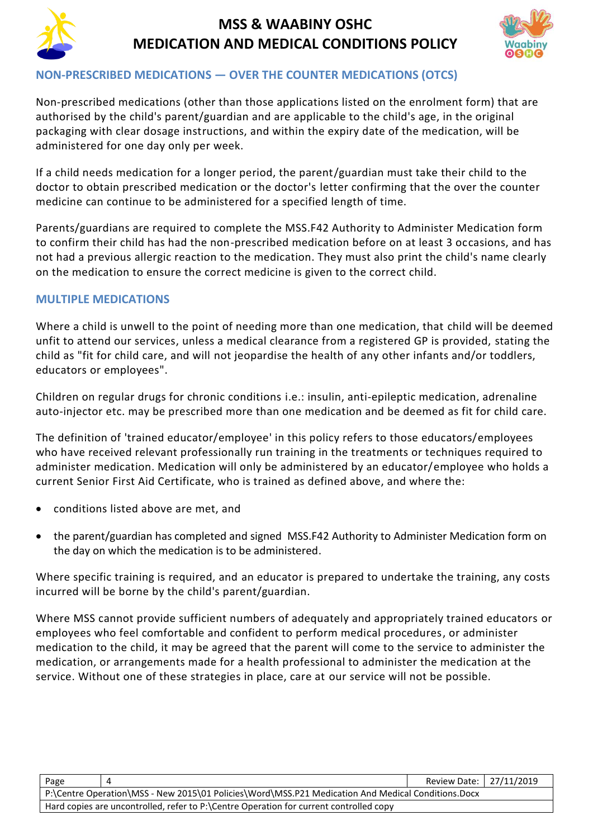



## **NON-PRESCRIBED MEDICATIONS — OVER THE COUNTER MEDICATIONS (OTCS)**

Non-prescribed medications (other than those applications listed on the enrolment form) that are authorised by the child's parent/guardian and are applicable to the child's age, in the original packaging with clear dosage instructions, and within the expiry date of the medication, will be administered for one day only per week.

If a child needs medication for a longer period, the parent/guardian must take their child to the doctor to obtain prescribed medication or the doctor's letter confirming that the over the counter medicine can continue to be administered for a specified length of time.

Parents/guardians are required to complete the MSS.F42 Authority to Administer Medication form to confirm their child has had the non-prescribed medication before on at least 3 occasions, and has not had a previous allergic reaction to the medication. They must also print the child's name clearly on the medication to ensure the correct medicine is given to the correct child.

# **MULTIPLE MEDICATIONS**

Where a child is unwell to the point of needing more than one medication, that child will be deemed unfit to attend our services, unless a medical clearance from a registered GP is provided, stating the child as "fit for child care, and will not jeopardise the health of any other infants and/or toddlers, educators or employees".

Children on regular drugs for chronic conditions i.e.: insulin, anti-epileptic medication, adrenaline auto-injector etc. may be prescribed more than one medication and be deemed as fit for child care.

The definition of 'trained educator/employee' in this policy refers to those educators/employees who have received relevant professionally run training in the treatments or techniques required to administer medication. Medication will only be administered by an educator/employee who holds a current Senior First Aid Certificate, who is trained as defined above, and where the:

- conditions listed above are met, and
- the parent/guardian has completed and signed MSS.F42 Authority to Administer Medication form on the day on which the medication is to be administered.

Where specific training is required, and an educator is prepared to undertake the training, any costs incurred will be borne by the child's parent/guardian.

Where MSS cannot provide sufficient numbers of adequately and appropriately trained educators or employees who feel comfortable and confident to perform medical procedures, or administer medication to the child, it may be agreed that the parent will come to the service to administer the medication, or arrangements made for a health professional to administer the medication at the service. Without one of these strategies in place, care at our service will not be possible.

| Page                                                                                               |  | Review Date: 27/11/2019 |  |
|----------------------------------------------------------------------------------------------------|--|-------------------------|--|
| P:\Centre Operation\MSS - New 2015\01 Policies\Word\MSS.P21 Medication And Medical Conditions.Docx |  |                         |  |
| Hard copies are uncontrolled, refer to P:\Centre Operation for current controlled copy             |  |                         |  |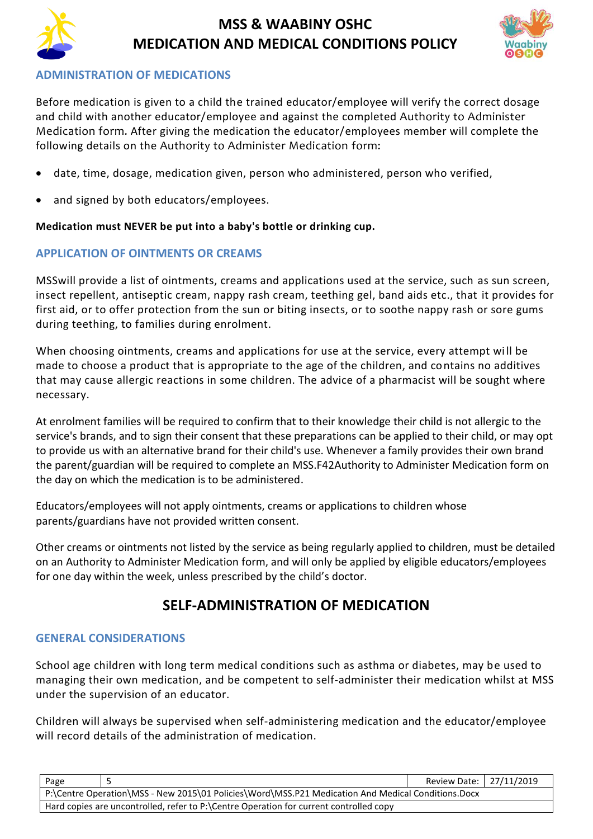



# **ADMINISTRATION OF MEDICATIONS**

Before medication is given to a child the trained educator/employee will verify the correct dosage and child with another educator/employee and against the completed Authority to Administer Medication form. After giving the medication the educator/employees member will complete the following details on the Authority to Administer Medication form:

- date, time, dosage, medication given, person who administered, person who verified,
- and signed by both educators/employees.

### **Medication must NEVER be put into a baby's bottle or drinking cup.**

# **APPLICATION OF OINTMENTS OR CREAMS**

MSSwill provide a list of ointments, creams and applications used at the service, such as sun screen, insect repellent, antiseptic cream, nappy rash cream, teething gel, band aids etc., that it provides for first aid, or to offer protection from the sun or biting insects, or to soothe nappy rash or sore gums during teething, to families during enrolment.

When choosing ointments, creams and applications for use at the service, every attempt will be made to choose a product that is appropriate to the age of the children, and contains no additives that may cause allergic reactions in some children. The advice of a pharmacist will be sought where necessary.

At enrolment families will be required to confirm that to their knowledge their child is not allergic to the service's brands, and to sign their consent that these preparations can be applied to their child, or may opt to provide us with an alternative brand for their child's use. Whenever a family provides their own brand the parent/guardian will be required to complete an MSS.F42Authority to Administer Medication form on the day on which the medication is to be administered.

Educators/employees will not apply ointments, creams or applications to children whose parents/guardians have not provided written consent.

Other creams or ointments not listed by the service as being regularly applied to children, must be detailed on an Authority to Administer Medication form, and will only be applied by eligible educators/employees for one day within the week, unless prescribed by the child's doctor.

# **SELF-ADMINISTRATION OF MEDICATION**

### **GENERAL CONSIDERATIONS**

School age children with long term medical conditions such as asthma or diabetes, may be used to managing their own medication, and be competent to self-administer their medication whilst at MSS under the supervision of an educator.

Children will always be supervised when self-administering medication and the educator/employee will record details of the administration of medication.

| Page                                                                                               |  | Review Date: 27/11/2019 |  |  |
|----------------------------------------------------------------------------------------------------|--|-------------------------|--|--|
| P:\Centre Operation\MSS - New 2015\01 Policies\Word\MSS.P21 Medication And Medical Conditions.Docx |  |                         |  |  |
| Hard copies are uncontrolled, refer to P:\Centre Operation for current controlled copy             |  |                         |  |  |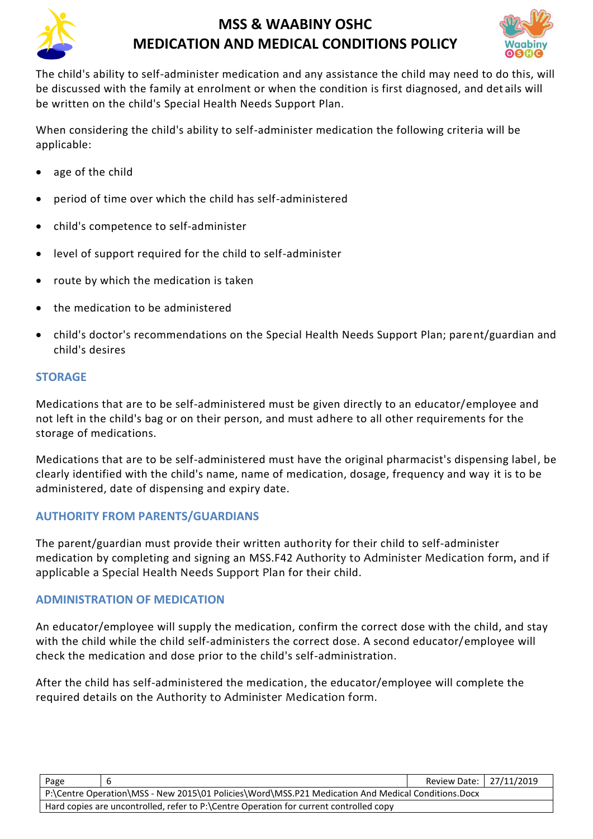



The child's ability to self-administer medication and any assistance the child may need to do this, will be discussed with the family at enrolment or when the condition is first diagnosed, and det ails will be written on the child's Special Health Needs Support Plan.

When considering the child's ability to self-administer medication the following criteria will be applicable:

- age of the child
- period of time over which the child has self-administered
- child's competence to self-administer
- level of support required for the child to self-administer
- route by which the medication is taken
- the medication to be administered
- child's doctor's recommendations on the Special Health Needs Support Plan; parent/guardian and child's desires

# **STORAGE**

Medications that are to be self-administered must be given directly to an educator/employee and not left in the child's bag or on their person, and must adhere to all other requirements for the storage of medications.

Medications that are to be self-administered must have the original pharmacist's dispensing label, be clearly identified with the child's name, name of medication, dosage, frequency and way it is to be administered, date of dispensing and expiry date.

### **AUTHORITY FROM PARENTS/GUARDIANS**

The parent/guardian must provide their written authority for their child to self-administer medication by completing and signing an MSS.F42 Authority to Administer Medication form, and if applicable a Special Health Needs Support Plan for their child.

### **ADMINISTRATION OF MEDICATION**

An educator/employee will supply the medication, confirm the correct dose with the child, and stay with the child while the child self-administers the correct dose. A second educator/employee will check the medication and dose prior to the child's self-administration.

After the child has self-administered the medication, the educator/employee will complete the required details on the Authority to Administer Medication form.

| Page                                                                                               |  | Review Date: 27/11/2019 |  |  |
|----------------------------------------------------------------------------------------------------|--|-------------------------|--|--|
| P:\Centre Operation\MSS - New 2015\01 Policies\Word\MSS.P21 Medication And Medical Conditions.Docx |  |                         |  |  |
| Hard copies are uncontrolled, refer to P:\Centre Operation for current controlled copy             |  |                         |  |  |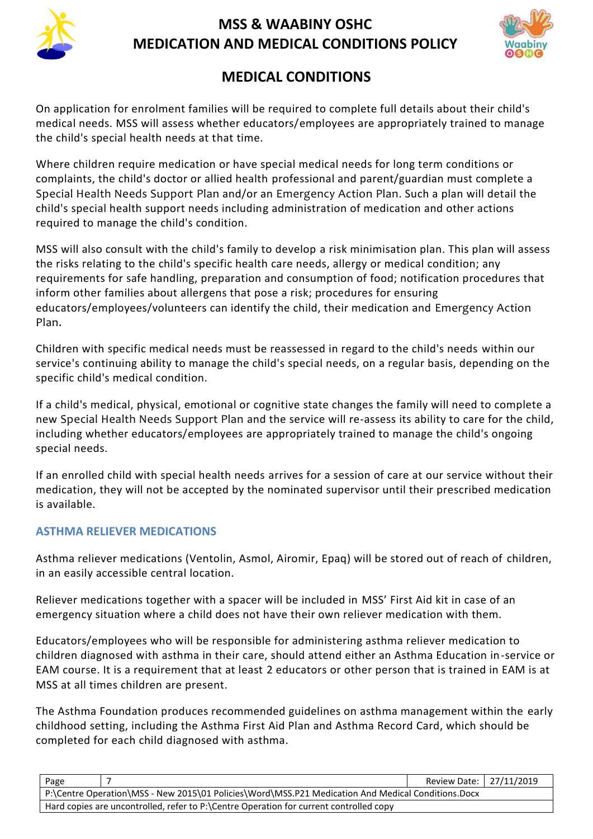



# **MEDICAL CONDITIONS**

On application for enrolment families will be required to complete full details about their child's medical needs. MSS will assess whether educators/employees are appropriately trained to manage the child's special health needs at that time.

Where children require medication or have special medical needs for long term conditions or complaints, the child's doctor or allied health professional and parent/guardian must complete a Special Health Needs Support Plan and/or an Emergency Action Plan. Such a plan will detail the child's special health support needs including administration of medication and other actions required to manage the child's condition.

MSS will also consult with the child's family to develop a risk minimisation plan. This plan will assess the risks relating to the child's specific health care needs, allergy or medical condition; any requirements for safe handling, preparation and consumption of food; notification procedures that inform other families about allergens that pose a risk; procedures for ensuring educators/employees/volunteers can identify the child, their medication and Emergency Action Plan.

Children with specific medical needs must be reassessed in regard to the child's needs within our service's continuing ability to manage the child's special needs, on a regular basis, depending on the specific child's medical condition.

If a child's medical, physical, emotional or cognitive state changes the family will need to complete a new Special Health Needs Support Plan and the service will re-assess its ability to care for the child, including whether educators/employees are appropriately trained to manage the child's ongoing special needs.

If an enrolled child with special health needs arrives for a session of care at our service without their medication, they will not be accepted by the nominated supervisor until their prescribed medication is available.

# **ASTHMA RELIEVER MEDICATIONS**

Asthma reliever medications (Ventolin, Asmol, Airomir, Epaq) will be stored out of reach of children, in an easily accessible central location.

Reliever medications together with a spacer will be included in MSS' First Aid kit in case of an emergency situation where a child does not have their own reliever medication with them.

Educators/employees who will be responsible for administering asthma reliever medication to children diagnosed with asthma in their care, should attend either an Asthma Education in-service or EAM course. It is a requirement that at least 2 educators or other person that is trained in EAM is at MSS at all times children are present.

The Asthma Foundation produces recommended guidelines on asthma management within the early childhood setting, including the Asthma First Aid Plan and Asthma Record Card, which should be completed for each child diagnosed with asthma.

| Page                                                                                               |  | Review Date:   27/11/2019 |  |  |
|----------------------------------------------------------------------------------------------------|--|---------------------------|--|--|
| P:\Centre Operation\MSS - New 2015\01 Policies\Word\MSS.P21 Medication And Medical Conditions.Docx |  |                           |  |  |
| Hard copies are uncontrolled, refer to P:\Centre Operation for current controlled copy             |  |                           |  |  |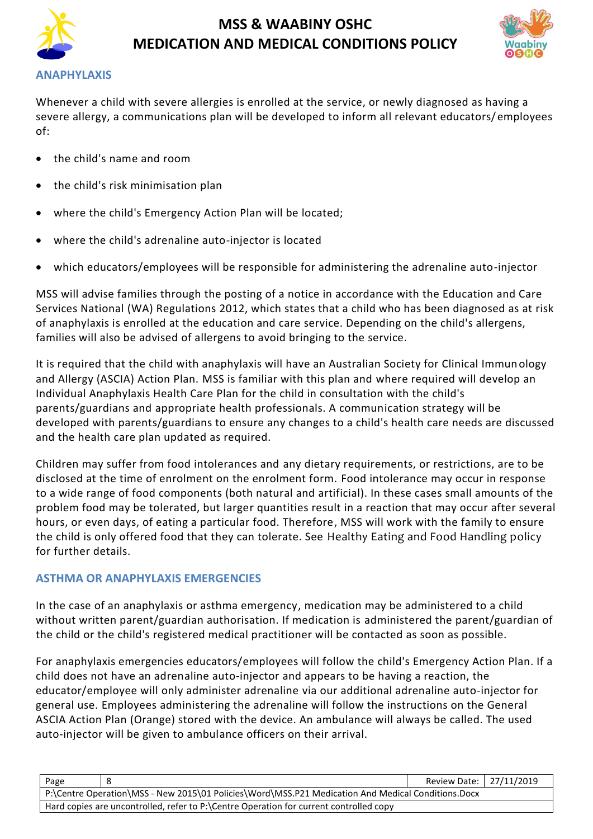



#### **ANAPHYLAXIS**

Whenever a child with severe allergies is enrolled at the service, or newly diagnosed as having a severe allergy, a communications plan will be developed to inform all relevant educators/employees of:

- the child's name and room
- the child's risk minimisation plan
- where the child's Emergency Action Plan will be located;
- where the child's adrenaline auto-injector is located
- which educators/employees will be responsible for administering the adrenaline auto-injector

MSS will advise families through the posting of a notice in accordance with the Education and Care Services National (WA) Regulations 2012, which states that a child who has been diagnosed as at risk of anaphylaxis is enrolled at the education and care service. Depending on the child's allergens, families will also be advised of allergens to avoid bringing to the service.

It is required that the child with anaphylaxis will have an Australian Society for Clinical Immunology and Allergy (ASCIA) Action Plan. MSS is familiar with this plan and where required will develop an Individual Anaphylaxis Health Care Plan for the child in consultation with the child's parents/guardians and appropriate health professionals. A communication strategy will be developed with parents/guardians to ensure any changes to a child's health care needs are discussed and the health care plan updated as required.

Children may suffer from food intolerances and any dietary requirements, or restrictions, are to be disclosed at the time of enrolment on the enrolment form. Food intolerance may occur in response to a wide range of food components (both natural and artificial). In these cases small amounts of the problem food may be tolerated, but larger quantities result in a reaction that may occur after several hours, or even days, of eating a particular food. Therefore, MSS will work with the family to ensure the child is only offered food that they can tolerate. See Healthy Eating and Food Handling policy for further details.

#### **ASTHMA OR ANAPHYLAXIS EMERGENCIES**

In the case of an anaphylaxis or asthma emergency, medication may be administered to a child without written parent/guardian authorisation. If medication is administered the parent/guardian of the child or the child's registered medical practitioner will be contacted as soon as possible.

For anaphylaxis emergencies educators/employees will follow the child's Emergency Action Plan. If a child does not have an adrenaline auto-injector and appears to be having a reaction, the educator/employee will only administer adrenaline via our additional adrenaline auto-injector for general use. Employees administering the adrenaline will follow the instructions on the General ASCIA Action Plan (Orange) stored with the device. An ambulance will always be called. The used auto-injector will be given to ambulance officers on their arrival.

| Page                                                                                               |  | Review Date:   27/11/2019 |  |  |
|----------------------------------------------------------------------------------------------------|--|---------------------------|--|--|
| P:\Centre Operation\MSS - New 2015\01 Policies\Word\MSS.P21 Medication And Medical Conditions.Docx |  |                           |  |  |
| Hard copies are uncontrolled, refer to P:\Centre Operation for current controlled copy             |  |                           |  |  |